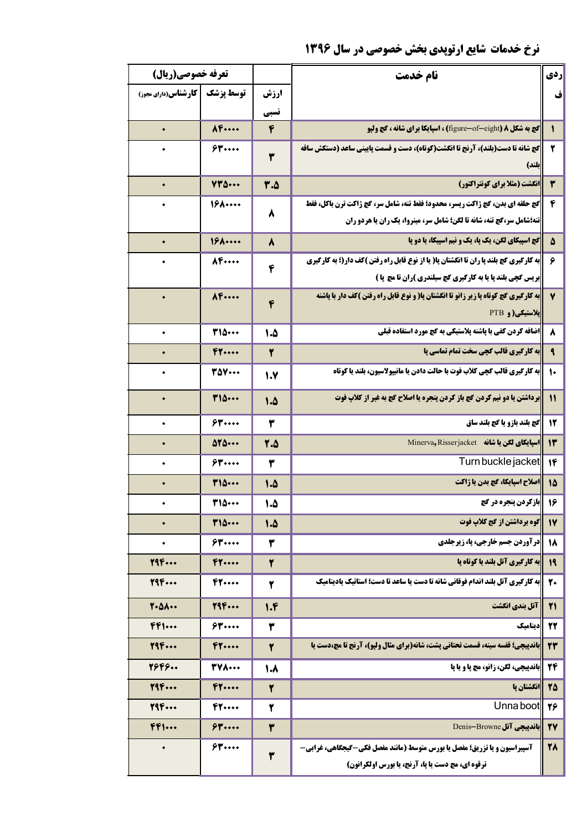## **نرخ خدمات شایع ارتوپدی بخش خصوصی در سال ۱۳۹۶**

| تعرفه خصوصي(ريال)            |                          |              | نام خدمت                                                                                                                             | ردي                    |
|------------------------------|--------------------------|--------------|--------------------------------------------------------------------------------------------------------------------------------------|------------------------|
| <b>کار شناس (دارای مجوز)</b> | توسط يزشك                | ارزش         |                                                                                                                                      | ف                      |
|                              |                          | تسبى         |                                                                                                                                      |                        |
| $\bullet$                    | $A$ $F$ $\cdots$         | ۴            | <b>کچ به شکل ۸ (</b> figure-of-eight) ، اسپایکا برای شانه ، کچ ولپو                                                                  | $\mathbf{\iota}$       |
|                              | 54                       | ٣            | گچ شانه تا دست(بلند)، آرنج تا انگشت(کوتاه)، دست و قسمت پایینی ساعد (دستکش ساقه<br>بلند)                                              | ۲                      |
| $\bullet$                    | $YY\Delta$               | ۳.۵          | انگشت (مثلا برای کونتراکتور)                                                                                                         | ٣                      |
|                              | $19$ $\cdots$            | ٨            | گچ حلقه ای بدن، گچ ژاکت ریسر، محدود؛ فقط تنه، شامل سر، گچ ژاکت ترن باکل، فقط                                                         | ۴                      |
|                              |                          |              | <b>تنه؛شامل سر،گچ تنه، شانه تا لگن؛ شامل سر، مینروا، یک ران یا هردو ران</b>                                                          |                        |
| $\bullet$                    | $19$ $\cdots$            | ۸            | <b>کچ اسپیکای لگن، یک پا، یک و نیم اسپیکا، یا دو پا</b>                                                                              | ۵                      |
|                              | 84                       | $\mathbf f$  | <b> به کارگیری گچ بلند پا ران تا انگشتان پا( یا از نوع قابل راه رفتن )کف دار(؛ به کارگیری</b>                                        | ۶                      |
|                              |                          |              | <b>بریس گچی بلند پا یا به کارگیری گچ سیلندری )ران تا مچ پا )</b>                                                                     |                        |
| $\bullet$                    | $\Lambda$ F              | $\mathbf{f}$ | به کارگیری گچ کوتاه پا زیر زانو تا انگشتان پا( و نوع قابل راه رفتن )کف دار با پاشنه                                                  | $\mathbf v$            |
|                              |                          |              | <b>بلاستیکی(و PTB</b>                                                                                                                |                        |
| ۰                            | <b>٣١۵٠٠٠</b>            | 1.5          | <b>اضافه کردن کفی با پاشنه پلاستیکی به گچ مورد استفاده قبلی</b>                                                                      | ۸                      |
|                              | FT                       | ۲            | <b>به کارگیری قالب گچی سخت تمام تماسی پا</b>                                                                                         | $\mathbf{\mathsf{R}}$  |
| $\bullet$                    | <b>TAY</b>               | 1.7          | <b>ابه کارگیری قالب گچی کلاب فوت با حالت دادن یا مانیپولاسیون، بلند یا کوتاه</b>                                                     | $\mathsf{L}$           |
| $\bullet$                    | <b>TID</b>               | 1.8          | برداشتن یا دو نیم کردن کچ باز کردن پنجره یا اصلاح کچ به غیر از کلاپ فوت                                                              | $\mathbf{11}$          |
| ۰                            | 54                       | ۳            | گچ بلند بازو یا گچ بلند ساق                                                                                                          | 12                     |
| $\bullet$                    | $\Delta Y \Delta \cdots$ | 7.8          | Minerva, Risserjacket في يا شانه بالمكاني المسابقات                                                                                  | $\mathsf{I}\mathsf{r}$ |
| ٠                            | 54                       | ۳            | Turn buckle jacket                                                                                                                   | 14                     |
|                              | 315.00                   | 1.5          | اصلاح اسپایکا، گچ بدن یا ژاکت                                                                                                        | 15                     |
|                              | 315.00                   | 1.5          | بازکردن پنجره در گچ                                                                                                                  | 16                     |
| $\bullet$                    | 110                      | 1.5          | گوه برداشتن از گج کلاپ فوت                                                                                                           | $\mathsf{I}\mathsf{Y}$ |
| $\bullet$                    | 54                       | ۳            | درآوردن جسم خارجی، پا، زیرجلدی                                                                                                       | 18                     |
| 794                          | F1                       | ۲            | <b>به کارگیری آتل بلند یا کوتاه پا</b>                                                                                               | 19                     |
| 796                          | 47                       | ۲            | <b>ابه کارگیری آتل بلند اندام فوقانی شانه تا دست یا ساعد تا دست؛ استاتیک یادینامیک</b>                                               | 20                     |
| $Y - \Delta A -$             | 796                      | 1.6          | آتل بندی انگشت                                                                                                                       | Y <sub>1</sub>         |
| $FF$ 1                       | 54                       | ۳            | ديناميك                                                                                                                              | 22                     |
| 796                          | F1                       | ۲            | <b>باندپیچی؛ قفسه سینه، قسمت تحتانی پشت، شانه(برای مثال ولپو)، آرنج تا مچ،دست یا</b>                                                 | 23                     |
| 7949                         | <b>TYA</b>               | 1.8          | <b> باندپیچی، لگن، زانو، مچ پا و یا پا</b>                                                                                           | 24                     |
| 796                          | F1                       | ۲            | انگشتان پا                                                                                                                           | 75                     |
| 796                          | F1                       | ۲            | Unna boot                                                                                                                            | 26                     |
| $FF$ 1                       | $$$ $\gamma$ $\cdots$    | ٣            | Denis-Browne J                                                                                                                       | <b>TY</b>              |
| $\bullet$                    | 54                       | ۳            | <b>آسپیراسیون و یا تزریق؛ مفصل یا بورس متوسط (مانند مفصل فکی-گیجگاهی، غرابی-</b><br>ترقوه ای، مچ دست یا پا، آرنج، یا بورس اولکرانون) | 78                     |